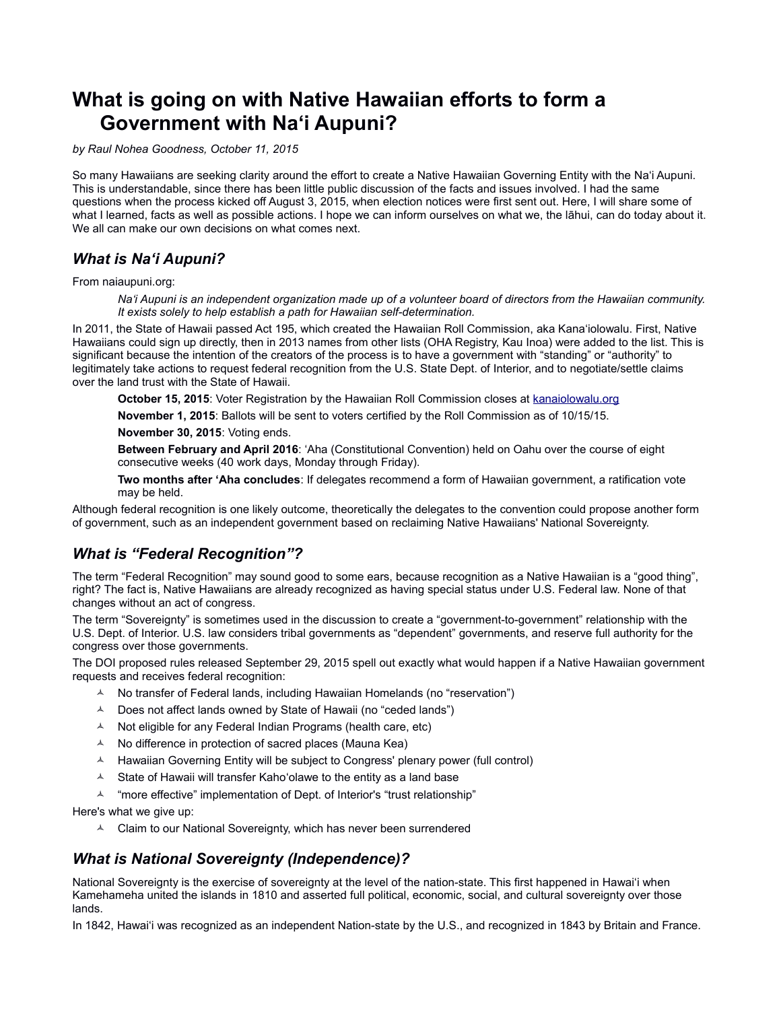# **What is going on with Native Hawaiian efforts to form a Government with Naʻi Aupuni?**

*by Raul Nohea Goodness, October 11, 2015*

So many Hawaiians are seeking clarity around the effort to create a Native Hawaiian Governing Entity with the Naʻi Aupuni. This is understandable, since there has been little public discussion of the facts and issues involved. I had the same questions when the process kicked off August 3, 2015, when election notices were first sent out. Here, I will share some of what I learned, facts as well as possible actions. I hope we can inform ourselves on what we, the lāhui, can do today about it. We all can make our own decisions on what comes next.

# *What is Naʻi Aupuni?*

From naiaupuni.org:

*Na'i Aupuni is an independent organization made up of a volunteer board of directors from the Hawaiian community. It exists solely to help establish a path for Hawaiian self-determination.* 

In 2011, the State of Hawaii passed Act 195, which created the Hawaiian Roll Commission, aka Kana'iolowalu. First, Native Hawaiians could sign up directly, then in 2013 names from other lists (OHA Registry, Kau Inoa) were added to the list. This is significant because the intention of the creators of the process is to have a government with "standing" or "authority" to legitimately take actions to request federal recognition from the U.S. State Dept. of Interior, and to negotiate/settle claims over the land trust with the State of Hawaii.

October 15, 2015: Voter Registration by the Hawaiian Roll Commission closes at [kanaiolowalu.org](http://kanaiolowalu.org/)

**November 1, 2015**: Ballots will be sent to voters certified by the Roll Commission as of 10/15/15.

**November 30, 2015**: Voting ends.

**Between February and April 2016**: 'Aha (Constitutional Convention) held on Oahu over the course of eight consecutive weeks (40 work days, Monday through Friday).

**Two months after 'Aha concludes**: If delegates recommend a form of Hawaiian government, a ratification vote may be held.

Although federal recognition is one likely outcome, theoretically the delegates to the convention could propose another form of government, such as an independent government based on reclaiming Native Hawaiians' National Sovereignty.

## *What is "Federal Recognition"?*

The term "Federal Recognition" may sound good to some ears, because recognition as a Native Hawaiian is a "good thing", right? The fact is, Native Hawaiians are already recognized as having special status under U.S. Federal law. None of that changes without an act of congress.

The term "Sovereignty" is sometimes used in the discussion to create a "government-to-government" relationship with the U.S. Dept. of Interior. U.S. law considers tribal governments as "dependent" governments, and reserve full authority for the congress over those governments.

The DOI proposed rules released September 29, 2015 spell out exactly what would happen if a Native Hawaiian government requests and receives federal recognition:

- <sup> $\triangle$ </sup> No transfer of Federal lands, including Hawaiian Homelands (no "reservation")
- $\triangle$  Does not affect lands owned by State of Hawaii (no "ceded lands")
- $\triangle$  Not eligible for any Federal Indian Programs (health care, etc)
- $\uparrow$  No difference in protection of sacred places (Mauna Kea)
- $\overline{A}$  Hawaiian Governing Entity will be subject to Congress' plenary power (full control)
- $\triangle$  State of Hawaii will transfer Kaho'olawe to the entity as a land base
- <sup> $\AA$ </sup> "more effective" implementation of Dept. of Interior's "trust relationship"

Here's what we give up:

 $\triangle$  Claim to our National Sovereignty, which has never been surrendered

### *What is National Sovereignty (Independence)?*

National Sovereignty is the exercise of sovereignty at the level of the nation-state. This first happened in Hawaiʻi when Kamehameha united the islands in 1810 and asserted full political, economic, social, and cultural sovereignty over those lands.

In 1842, Hawaiʻi was recognized as an independent Nation-state by the U.S., and recognized in 1843 by Britain and France.